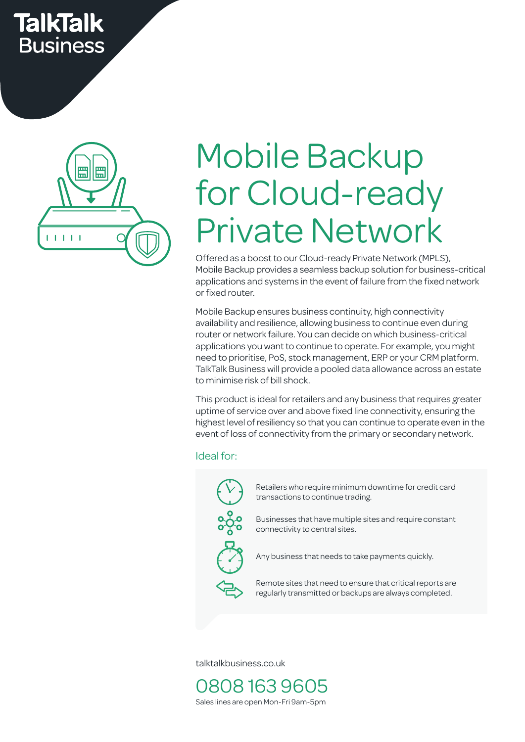# **TalkTalk Business**



# Mobile Backup for Cloud-ready Private Network

Offered as a boost to our Cloud-ready Private Network (MPLS), Mobile Backup provides a seamless backup solution for business-critical applications and systems in the event of failure from the fixed network or fixed router.

Mobile Backup ensures business continuity, high connectivity availability and resilience, allowing business to continue even during router or network failure. You can decide on which business-critical applications you want to continue to operate. For example, you might need to prioritise, PoS, stock management, ERP or your CRM platform. TalkTalk Business will provide a pooled data allowance across an estate to minimise risk of bill shock.

This product is ideal for retailers and any business that requires greater uptime of service over and above fixed line connectivity, ensuring the highest level of resiliency so that you can continue to operate even in the event of loss of connectivity from the primary or secondary network.

### Ideal for:



Retailers who require minimum downtime for credit card transactions to continue trading.

Businesses that have multiple sites and require constant connectivity to central sites.

Any business that needs to take payments quickly.

Remote sites that need to ensure that critical reports are regularly transmitted or backups are always completed.

talktalkbusiness.co.uk

0808 163 9605 Sales lines are open Mon-Fri 9am-5pm